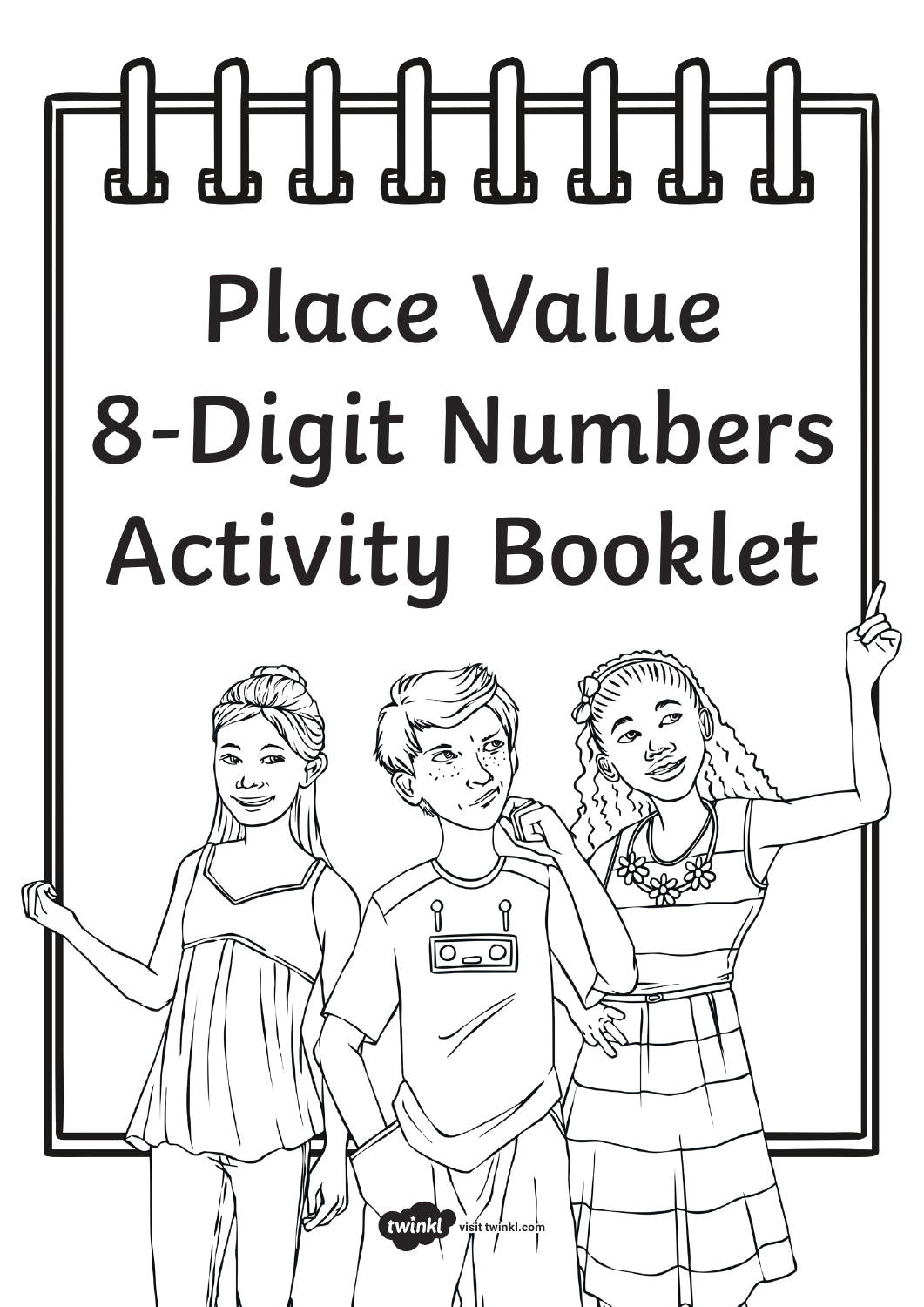# **Place Value 8-Digit Numbers Activity Booklet**

**[visit twinkl.com](https://www.twinkl.co.uk)**

twinkl

<u>OUO</u>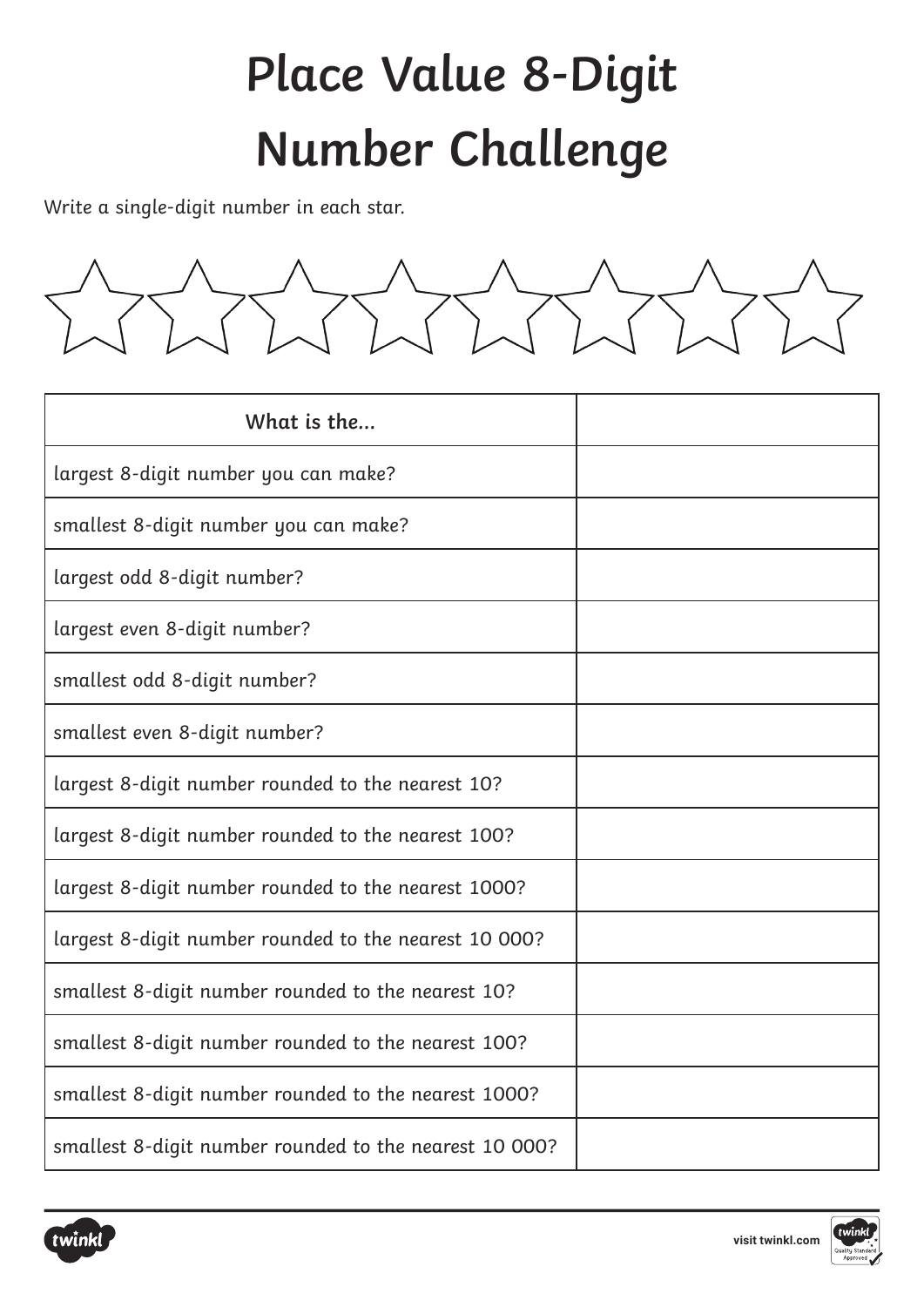## **Place Value 8-Digit Number Challenge**

Write a single-digit number in each star.



| What is the                                            |  |
|--------------------------------------------------------|--|
| largest 8-digit number you can make?                   |  |
| smallest 8-digit number you can make?                  |  |
| largest odd 8-digit number?                            |  |
| largest even 8-digit number?                           |  |
| smallest odd 8-digit number?                           |  |
| smallest even 8-digit number?                          |  |
| largest 8-digit number rounded to the nearest 10?      |  |
| largest 8-digit number rounded to the nearest 100?     |  |
| largest 8-digit number rounded to the nearest 1000?    |  |
| largest 8-digit number rounded to the nearest 10 000?  |  |
| smallest 8-digit number rounded to the nearest 10?     |  |
| smallest 8-digit number rounded to the nearest 100?    |  |
| smallest 8-digit number rounded to the nearest 1000?   |  |
| smallest 8-digit number rounded to the nearest 10 000? |  |



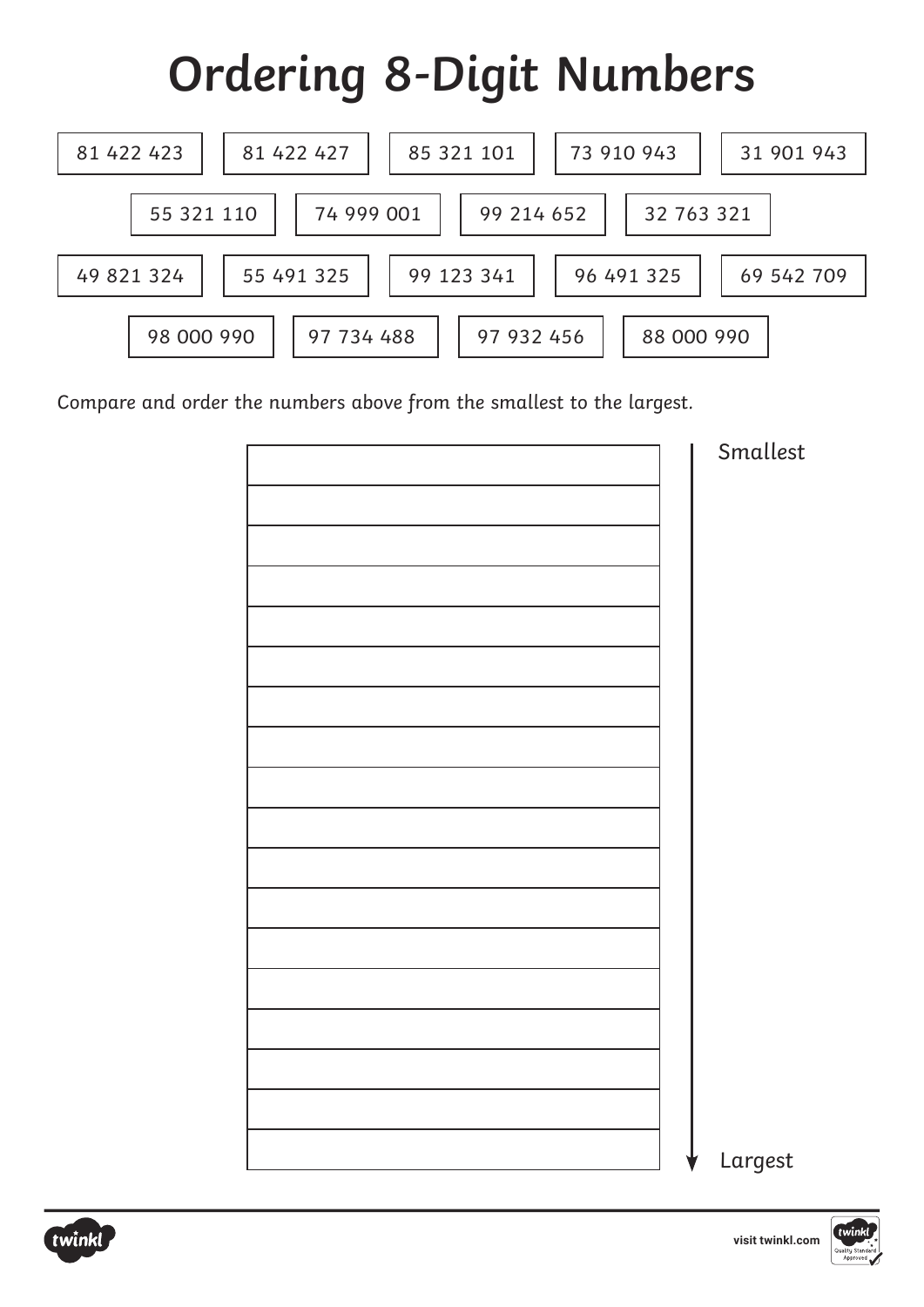## **Ordering 8-Digit Numbers**



Compare and order the numbers above from the smallest to the largest.

| Smallest |
|----------|
|          |
|          |
|          |
|          |
|          |
|          |
|          |
|          |
|          |
|          |
|          |
|          |
|          |
|          |
|          |
|          |
|          |
|          |
|          |
|          |
|          |
|          |
|          |
|          |
|          |
|          |
| Largest  |

twinkl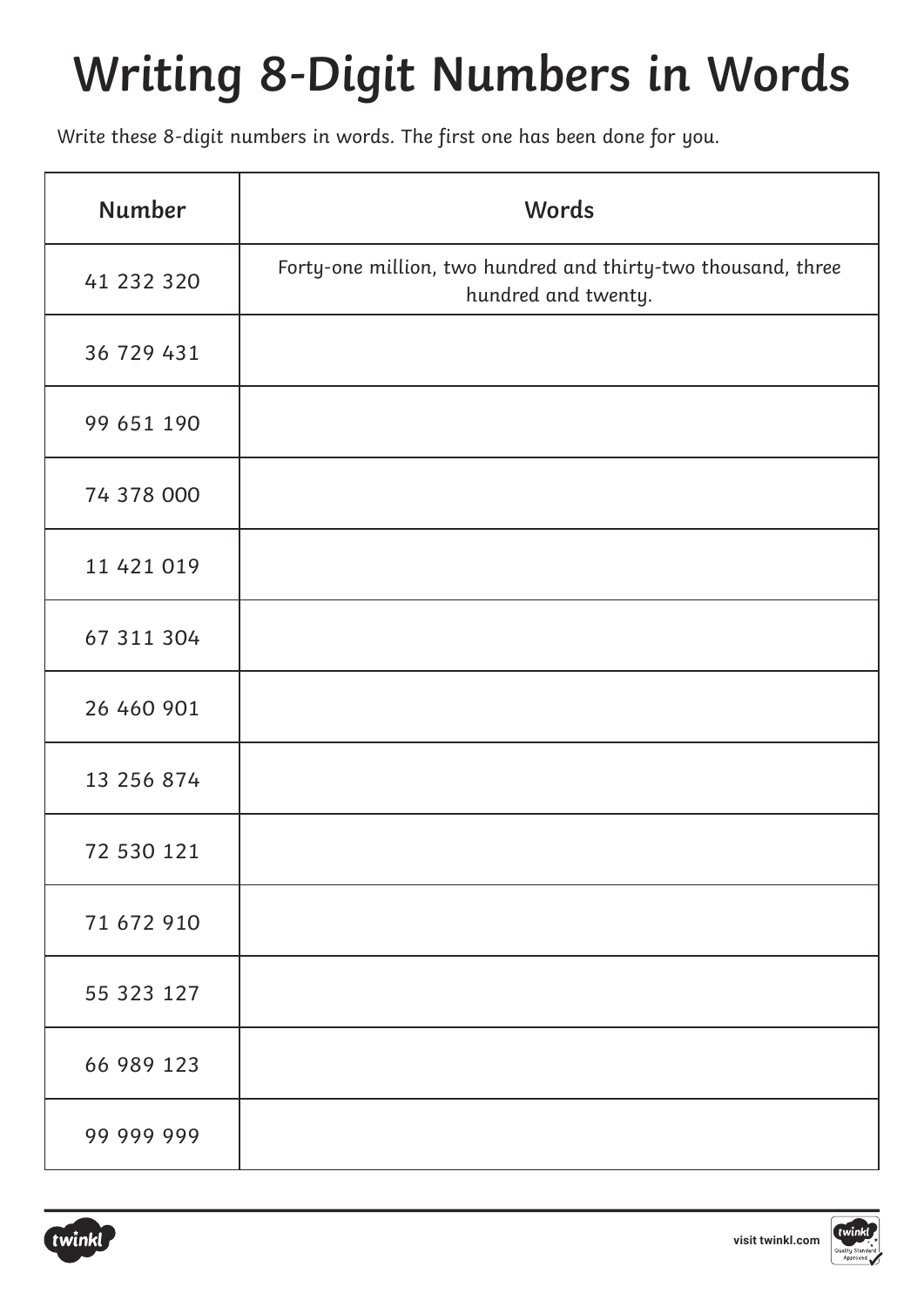## **Writing 8-Digit Numbers in Words**

Write these 8-digit numbers in words. The first one has been done for you.

| <b>Number</b> | Words                                                                                |
|---------------|--------------------------------------------------------------------------------------|
| 41 232 320    | Forty-one million, two hundred and thirty-two thousand, three<br>hundred and twenty. |
| 36 729 431    |                                                                                      |
| 99 651 190    |                                                                                      |
| 74 378 000    |                                                                                      |
| 11 421 019    |                                                                                      |
| 67 311 304    |                                                                                      |
| 26 460 901    |                                                                                      |
| 13 256 874    |                                                                                      |
| 72 530 121    |                                                                                      |
| 71 672 910    |                                                                                      |
| 55 323 127    |                                                                                      |
| 66 989 123    |                                                                                      |
| 99 999 999    |                                                                                      |

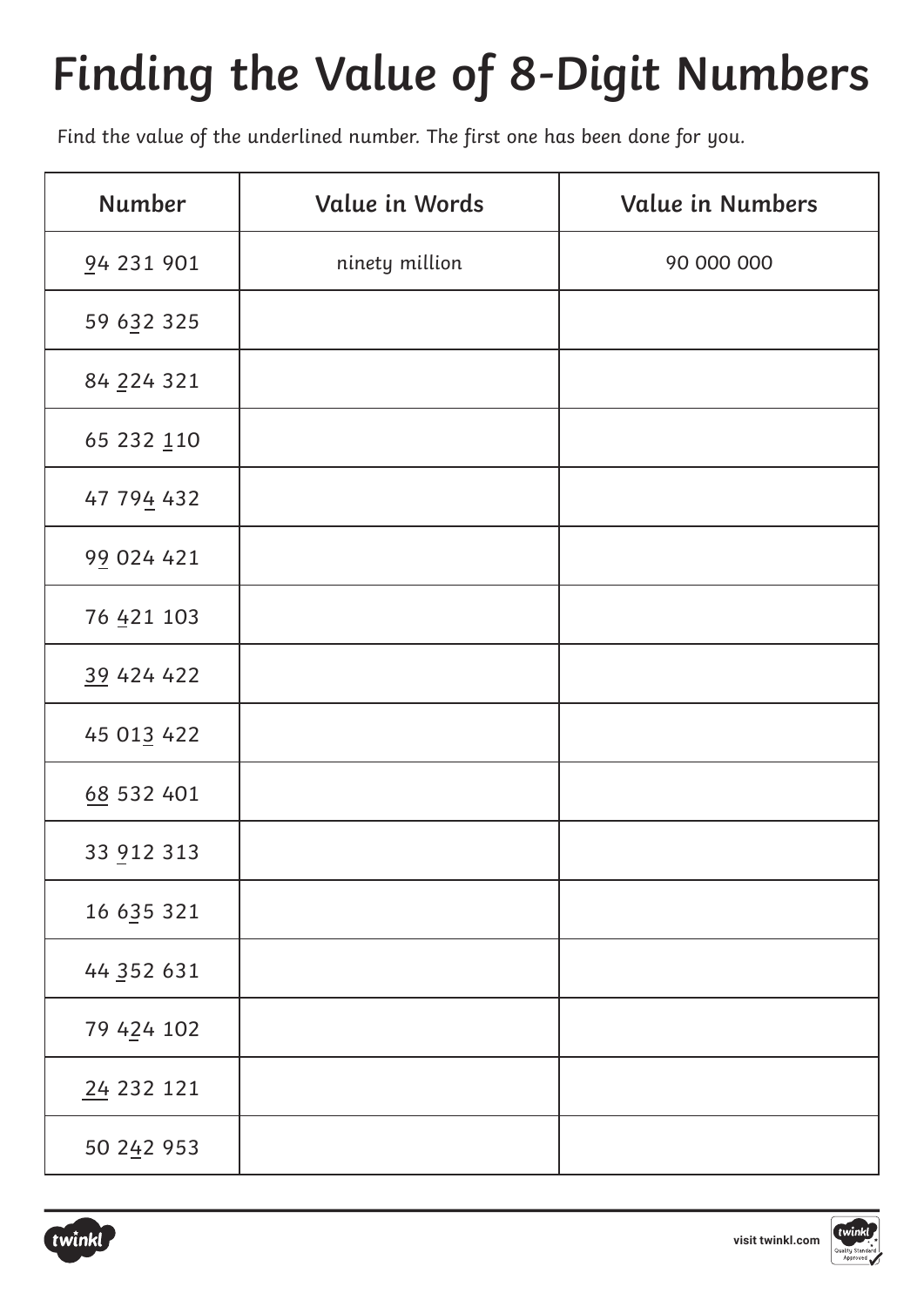## **Finding the Value of 8-Digit Numbers**

Find the value of the underlined number. The first one has been done for you.

| Number     | Value in Words | <b>Value in Numbers</b> |
|------------|----------------|-------------------------|
| 94 231 901 | ninety million | 90 000 000              |
| 59 632 325 |                |                         |
| 84 224 321 |                |                         |
| 65 232 110 |                |                         |
| 47 794 432 |                |                         |
| 99 024 421 |                |                         |
| 76 421 103 |                |                         |
| 39 424 422 |                |                         |
| 45 013 422 |                |                         |
| 68 532 401 |                |                         |
| 33 912 313 |                |                         |
| 16 635 321 |                |                         |
| 44 352 631 |                |                         |
| 79 424 102 |                |                         |
| 24 232 121 |                |                         |
| 50 242 953 |                |                         |

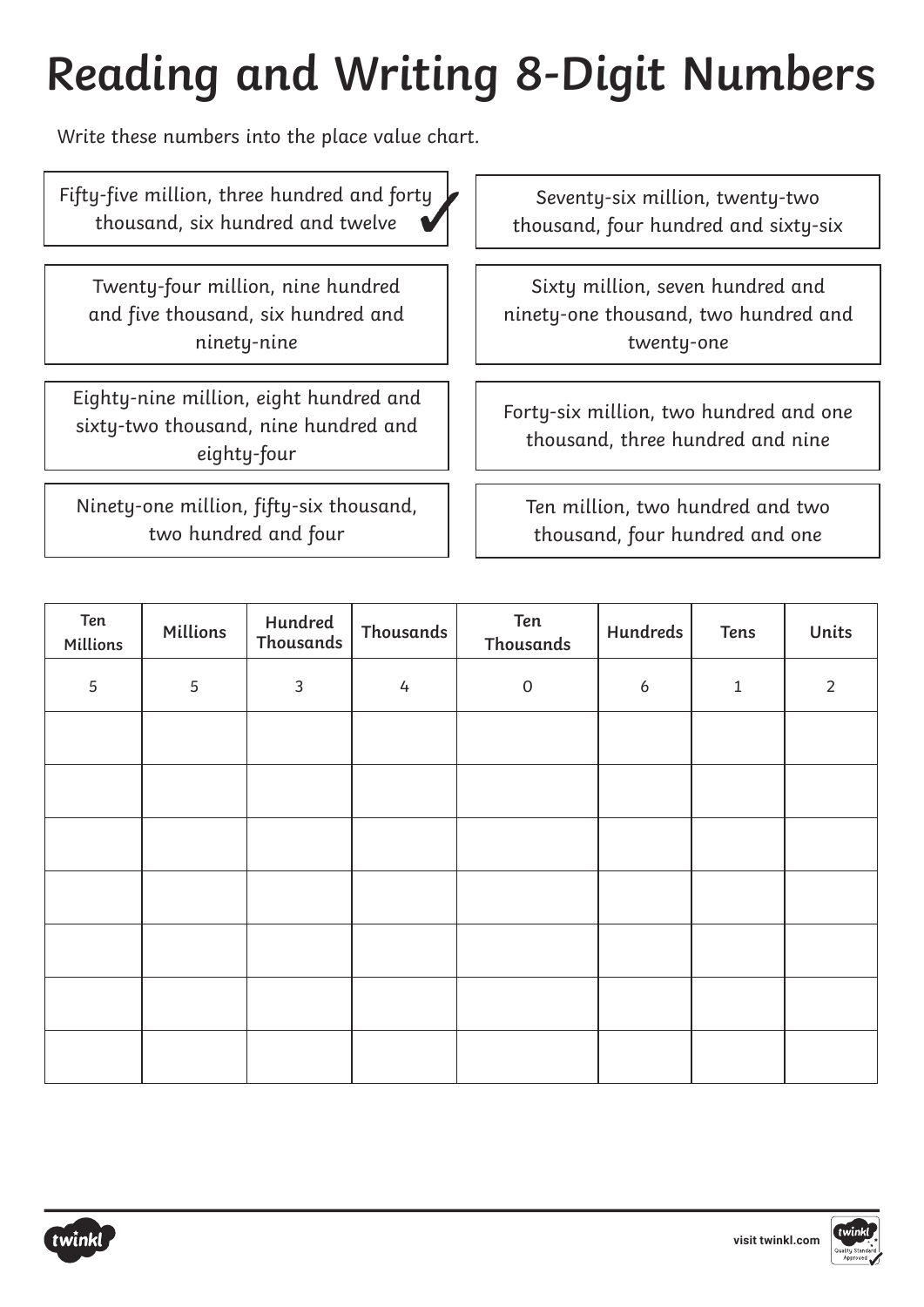## **Reading and Writing 8-Digit Numbers**

Write these numbers into the place value chart.

Fifty-five million, three hundred and forty thousand, six hundred and twelve

Twenty-four million, nine hundred and five thousand, six hundred and ninety-nine

Eighty-nine million, eight hundred and sixty-two thousand, nine hundred and eighty-four

Ninety-one million, fifty-six thousand, two hundred and four

Seventy-six million, twenty-two thousand, four hundred and sixty-six

Sixty million, seven hundred and ninety-one thousand, two hundred and twenty-one

Forty-six million, two hundred and one thousand, three hundred and nine

Ten million, two hundred and two thousand, four hundred and one

| Ten<br>Millions | Millions   | Hundred<br>Thousands | <b>Thousands</b> | Ten<br><b>Thousands</b> | <b>Hundreds</b> | <b>Tens</b> | Units          |
|-----------------|------------|----------------------|------------------|-------------------------|-----------------|-------------|----------------|
| 5               | $\sqrt{5}$ | $\mathbf{3}$         | 4                | $\mathsf O$             | 6               | $\mathbf 1$ | $\overline{2}$ |
|                 |            |                      |                  |                         |                 |             |                |
|                 |            |                      |                  |                         |                 |             |                |
|                 |            |                      |                  |                         |                 |             |                |
|                 |            |                      |                  |                         |                 |             |                |
|                 |            |                      |                  |                         |                 |             |                |
|                 |            |                      |                  |                         |                 |             |                |
|                 |            |                      |                  |                         |                 |             |                |



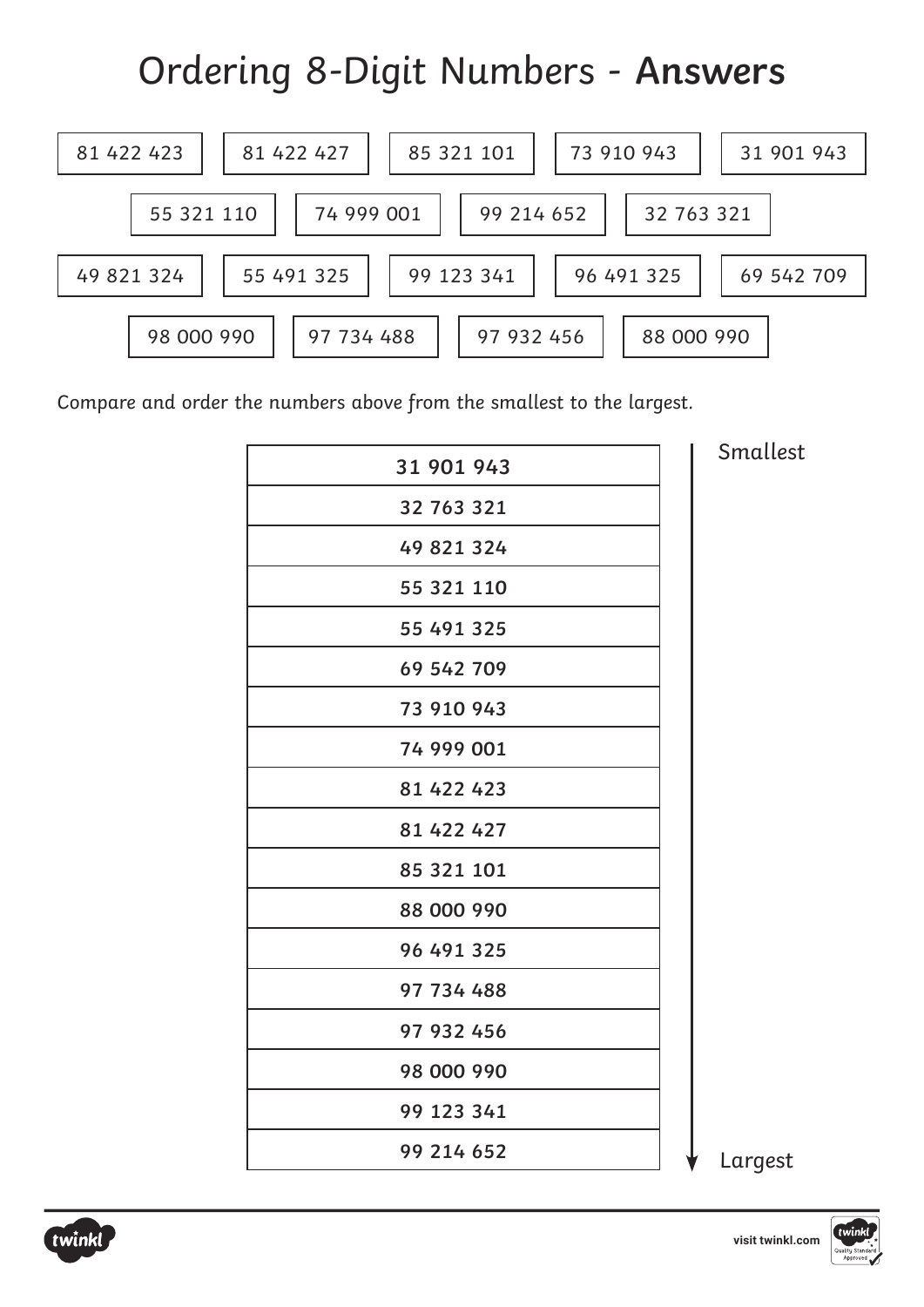#### Ordering 8-Digit Numbers - **Answers**



Compare and order the numbers above from the smallest to the largest.

| 31 901 943 |
|------------|
| 32 763 321 |
| 49 821 324 |
| 55 321 110 |
| 55 491 325 |
| 69 542 709 |
| 73 910 943 |
| 74 999 001 |
| 81 422 423 |
| 81 422 427 |
| 85 321 101 |
| 88 000 990 |
| 96 491 325 |
| 97 734 488 |
| 97 932 456 |
| 98 000 990 |
| 99 123 341 |
| 99 214 652 |
|            |

Smallest



Largest

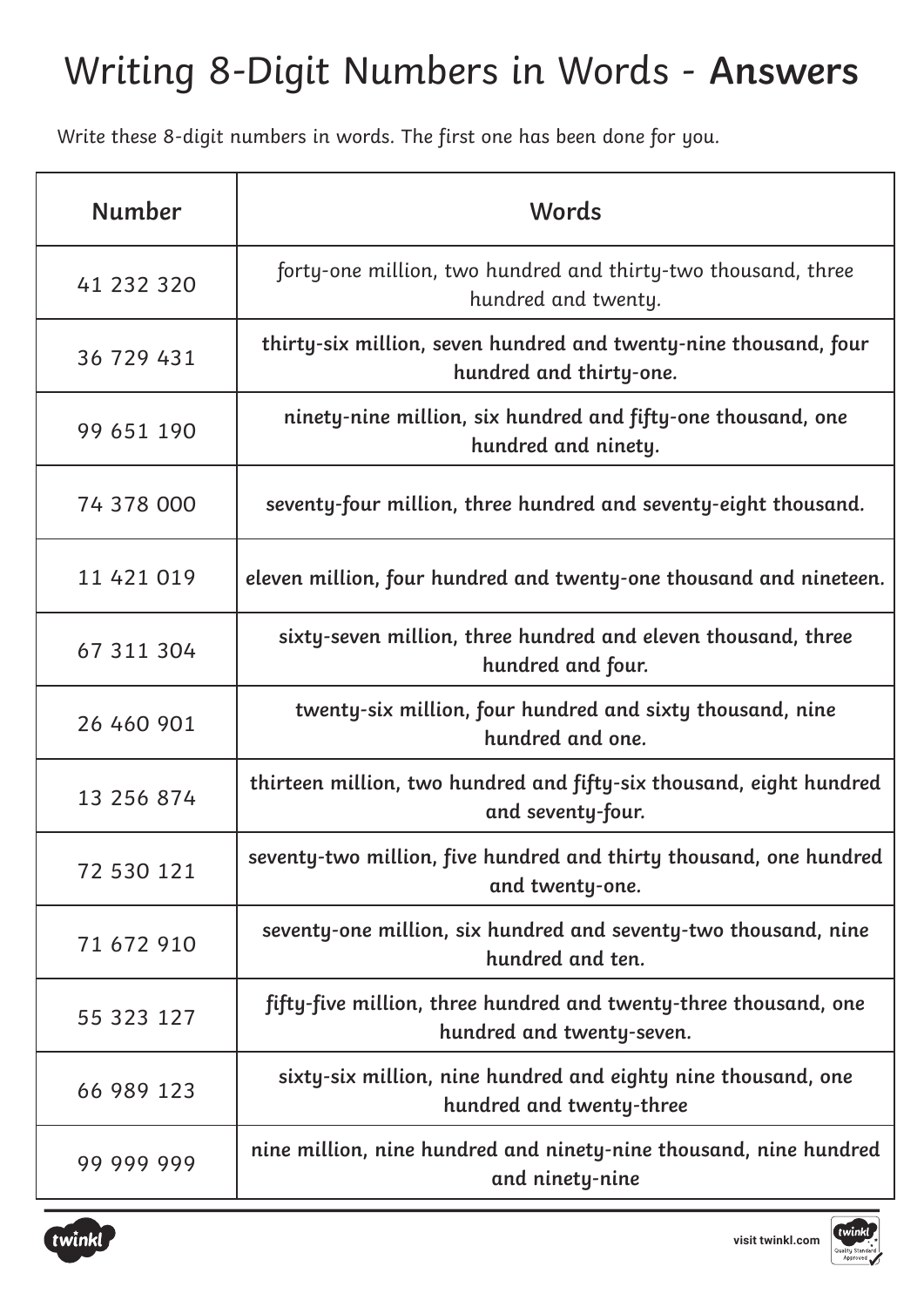#### Writing 8-Digit Numbers in Words - **Answers**

Write these 8-digit numbers in words. The first one has been done for you.

| <b>Number</b> | Words                                                                                         |
|---------------|-----------------------------------------------------------------------------------------------|
| 41 232 320    | forty-one million, two hundred and thirty-two thousand, three<br>hundred and twenty.          |
| 36 729 431    | thirty-six million, seven hundred and twenty-nine thousand, four<br>hundred and thirty-one.   |
| 99 651 190    | ninety-nine million, six hundred and fifty-one thousand, one<br>hundred and ninety.           |
| 74 378 000    | seventy-four million, three hundred and seventy-eight thousand.                               |
| 11 421 019    | eleven million, four hundred and twenty-one thousand and nineteen.                            |
| 67 311 304    | sixty-seven million, three hundred and eleven thousand, three<br>hundred and four.            |
| 26 460 901    | twenty-six million, four hundred and sixty thousand, nine<br>hundred and one.                 |
| 13 256 874    | thirteen million, two hundred and fifty-six thousand, eight hundred<br>and seventy-four.      |
| 72 530 121    | seventy-two million, five hundred and thirty thousand, one hundred<br>and twenty-one.         |
| 71 672 910    | seventy-one million, six hundred and seventy-two thousand, nine<br>hundred and ten.           |
| 55 323 127    | fifty-five million, three hundred and twenty-three thousand, one<br>hundred and twenty-seven. |
| 66 989 123    | sixty-six million, nine hundred and eighty nine thousand, one<br>hundred and twenty-three     |
| 99 999 999    | nine million, nine hundred and ninety-nine thousand, nine hundred<br>and ninety-nine          |



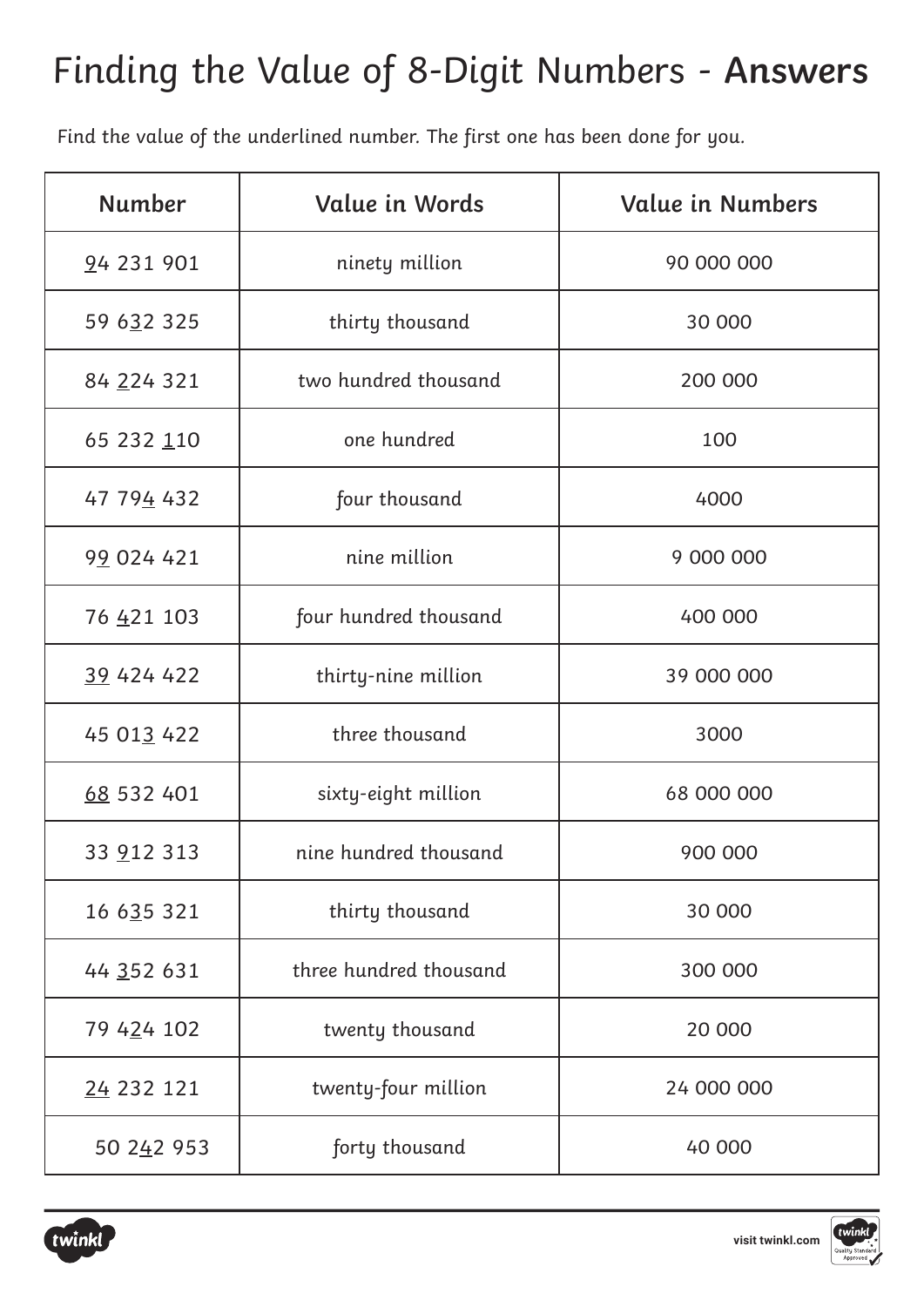#### Finding the Value of 8-Digit Numbers - **Answers**

Find the value of the underlined number. The first one has been done for you.

| <b>Number</b> | Value in Words                    | <b>Value in Numbers</b> |  |  |
|---------------|-----------------------------------|-------------------------|--|--|
| 94 231 901    | ninety million<br>90 000 000      |                         |  |  |
| 59 632 325    | thirty thousand<br>30 000         |                         |  |  |
| 84 224 321    | two hundred thousand              | 200 000                 |  |  |
| 65 232 110    | one hundred<br>100                |                         |  |  |
| 47 794 432    | four thousand                     | 4000                    |  |  |
| 99 024 421    | nine million                      | 9 000 000               |  |  |
| 76 421 103    | four hundred thousand             | 400 000                 |  |  |
| 39 424 422    | thirty-nine million               | 39 000 000              |  |  |
| 45 013 422    | three thousand                    | 3000                    |  |  |
| 68 532 401    | sixty-eight million               | 68 000 000              |  |  |
| 33 912 313    | nine hundred thousand             | 900 000                 |  |  |
| 16 635 321    | thirty thousand                   | 30 000                  |  |  |
| 44 352 631    | three hundred thousand            | 300 000                 |  |  |
| 79 424 102    | twenty thousand                   | 20 000                  |  |  |
| 24 232 121    | twenty-four million<br>24 000 000 |                         |  |  |
| 50 242 953    | forty thousand<br>40 000          |                         |  |  |